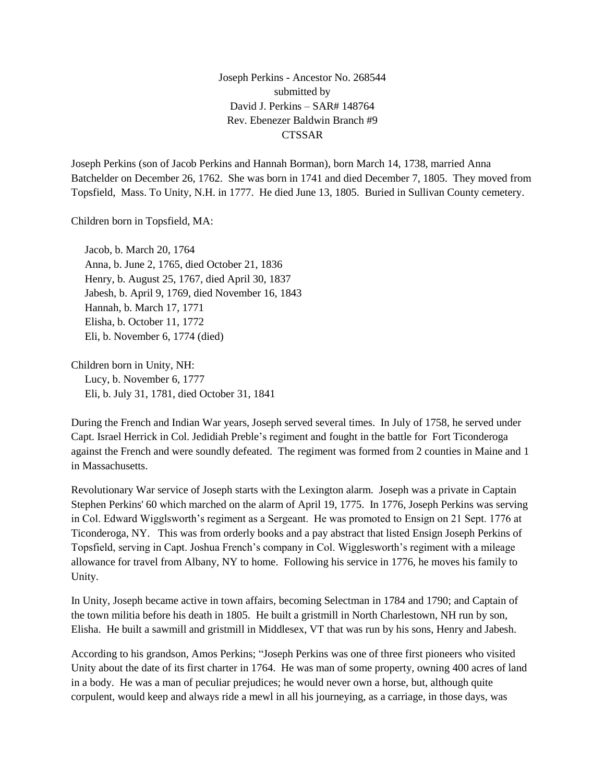Joseph Perkins - Ancestor No. 268544 submitted by David J. Perkins – SAR# 148764 Rev. Ebenezer Baldwin Branch #9 **CTSSAR** 

Joseph Perkins (son of Jacob Perkins and Hannah Borman), born March 14, 1738, married Anna Batchelder on December 26, 1762. She was born in 1741 and died December 7, 1805. They moved from Topsfield, Mass. To Unity, N.H. in 1777. He died June 13, 1805. Buried in Sullivan County cemetery.

Children born in Topsfield, MA:

 Jacob, b. March 20, 1764 Anna, b. June 2, 1765, died October 21, 1836 Henry, b. August 25, 1767, died April 30, 1837 Jabesh, b. April 9, 1769, died November 16, 1843 Hannah, b. March 17, 1771 Elisha, b. October 11, 1772 Eli, b. November 6, 1774 (died)

Children born in Unity, NH: Lucy, b. November 6, 1777 Eli, b. July 31, 1781, died October 31, 1841

During the French and Indian War years, Joseph served several times. In July of 1758, he served under Capt. Israel Herrick in Col. Jedidiah Preble's regiment and fought in the battle for Fort Ticonderoga against the French and were soundly defeated. The regiment was formed from 2 counties in Maine and 1 in Massachusetts.

Revolutionary War service of Joseph starts with the Lexington alarm. Joseph was a private in Captain Stephen Perkins' 60 which marched on the alarm of April 19, 1775. In 1776, Joseph Perkins was serving in Col. Edward Wigglsworth's regiment as a Sergeant. He was promoted to Ensign on 21 Sept. 1776 at Ticonderoga, NY. This was from orderly books and a pay abstract that listed Ensign Joseph Perkins of Topsfield, serving in Capt. Joshua French's company in Col. Wigglesworth's regiment with a mileage allowance for travel from Albany, NY to home. Following his service in 1776, he moves his family to Unity.

In Unity, Joseph became active in town affairs, becoming Selectman in 1784 and 1790; and Captain of the town militia before his death in 1805. He built a gristmill in North Charlestown, NH run by son, Elisha. He built a sawmill and gristmill in Middlesex, VT that was run by his sons, Henry and Jabesh.

According to his grandson, Amos Perkins; "Joseph Perkins was one of three first pioneers who visited Unity about the date of its first charter in 1764. He was man of some property, owning 400 acres of land in a body. He was a man of peculiar prejudices; he would never own a horse, but, although quite corpulent, would keep and always ride a mewl in all his journeying, as a carriage, in those days, was